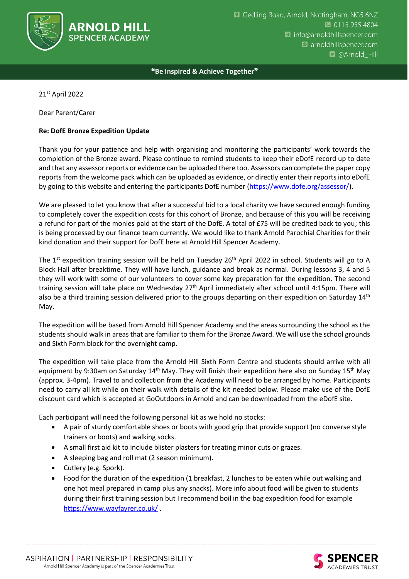

❝**Be Inspired & Achieve Together**❞

21st April 2022

Dear Parent/Carer

## **Re: DofE Bronze Expedition Update**

Thank you for your patience and help with organising and monitoring the participants' work towards the completion of the Bronze award. Please continue to remind students to keep their eDofE record up to date and that any assessor reports or evidence can be uploaded there too. Assessors can complete the paper copy reports from the welcome pack which can be uploaded as evidence, or directly enter their reports into eDofE by going to this website and entering the participants DofE number [\(https://www.dofe.org/assessor/\)](https://www.dofe.org/assessor/).

We are pleased to let you know that after a successful bid to a local charity we have secured enough funding to completely cover the expedition costs for this cohort of Bronze, and because of this you will be receiving a refund for part of the monies paid at the start of the DofE. A total of £75 will be credited back to you; this is being processed by our finance team currently. We would like to thank Arnold Parochial Charities for their kind donation and their support for DofE here at Arnold Hill Spencer Academy.

The 1<sup>st</sup> expedition training session will be held on Tuesday 26<sup>th</sup> April 2022 in school. Students will go to A Block Hall after breaktime. They will have lunch, guidance and break as normal. During lessons 3, 4 and 5 they will work with some of our volunteers to cover some key preparation for the expedition. The second training session will take place on Wednesday  $27<sup>th</sup>$  April immediately after school until 4:15pm. There will also be a third training session delivered prior to the groups departing on their expedition on Saturday 14<sup>th</sup> May.

The expedition will be based from Arnold Hill Spencer Academy and the areas surrounding the school as the students should walk in areas that are familiar to them for the Bronze Award. We will use the school grounds and Sixth Form block for the overnight camp.

The expedition will take place from the Arnold Hill Sixth Form Centre and students should arrive with all equipment by 9:30am on Saturday 14<sup>th</sup> May. They will finish their expedition here also on Sunday 15<sup>th</sup> May (approx. 3-4pm). Travel to and collection from the Academy will need to be arranged by home. Participants need to carry all kit while on their walk with details of the kit needed below. Please make use of the DofE discount card which is accepted at GoOutdoors in Arnold and can be downloaded from the eDofE site.

Each participant will need the following personal kit as we hold no stocks:

- A pair of sturdy comfortable shoes or boots with good grip that provide support (no converse style trainers or boots) and walking socks.
- A small first aid kit to include blister plasters for treating minor cuts or grazes.
- A sleeping bag and roll mat (2 season minimum).
- Cutlery (e.g. Spork).
- Food for the duration of the expedition (1 breakfast, 2 lunches to be eaten while out walking and one hot meal prepared in camp plus any snacks). More info about food will be given to students during their first training session but I recommend boil in the bag expedition food for example <https://www.wayfayrer.co.uk/> .